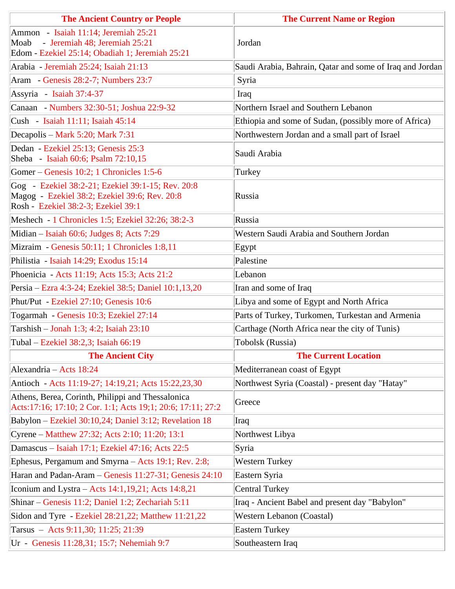| <b>The Ancient Country or People</b>                                                                                                      | <b>The Current Name or Region</b>                        |
|-------------------------------------------------------------------------------------------------------------------------------------------|----------------------------------------------------------|
| Ammon - Isaiah 11:14; Jeremiah 25:21                                                                                                      |                                                          |
| Moab - Jeremiah 48; Jeremiah 25:21                                                                                                        | Jordan                                                   |
| Edom - Ezekiel 25:14; Obadiah 1; Jeremiah 25:21                                                                                           | Saudi Arabia, Bahrain, Qatar and some of Iraq and Jordan |
| Arabia - Jeremiah 25:24; Isaiah 21:13                                                                                                     |                                                          |
| Aram - Genesis 28:2-7; Numbers 23:7                                                                                                       | Syria                                                    |
| Assyria - Isaiah 37:4-37                                                                                                                  | Iraq                                                     |
| Canaan - Numbers 32:30-51; Joshua 22:9-32                                                                                                 | Northern Israel and Southern Lebanon                     |
| Cush - Isaiah 11:11; Isaiah 45:14                                                                                                         | Ethiopia and some of Sudan, (possibly more of Africa)    |
| Decapolis – Mark 5:20; Mark 7:31                                                                                                          | Northwestern Jordan and a small part of Israel           |
| Dedan - Ezekiel 25:13; Genesis 25:3<br>Sheba - Isaiah 60:6; Psalm 72:10,15                                                                | Saudi Arabia                                             |
| Gomer – Genesis 10:2; 1 Chronicles 1:5-6                                                                                                  | Turkey                                                   |
| Gog - Ezekiel 38:2-21; Ezekiel 39:1-15; Rev. 20:8<br>Magog - Ezekiel 38:2; Ezekiel 39:6; Rev. 20:8<br>Rosh - Ezekiel 38:2-3; Ezekiel 39:1 | Russia                                                   |
| Meshech - 1 Chronicles 1:5; Ezekiel 32:26; 38:2-3                                                                                         | Russia                                                   |
| Midian – Isaiah 60:6; Judges 8; Acts 7:29                                                                                                 | Western Saudi Arabia and Southern Jordan                 |
| Mizraim - Genesis 50:11; 1 Chronicles 1:8,11                                                                                              | Egypt                                                    |
| Philistia - Isaiah 14:29; Exodus 15:14                                                                                                    | Palestine                                                |
| Phoenicia - Acts 11:19; Acts 15:3; Acts 21:2                                                                                              | Lebanon                                                  |
| Persia – Ezra 4:3-24; Ezekiel 38:5; Daniel 10:1,13,20                                                                                     | Iran and some of Iraq                                    |
| Phut/Put - Ezekiel 27:10; Genesis 10:6                                                                                                    | Libya and some of Egypt and North Africa                 |
| Togarmah - Genesis 10:3; Ezekiel 27:14                                                                                                    | Parts of Turkey, Turkomen, Turkestan and Armenia         |
| Tarshish - Jonah 1:3; 4:2; Isaiah 23:10                                                                                                   | Carthage (North Africa near the city of Tunis)           |
| Tubal – Ezekiel 38:2,3; Isaiah 66:19                                                                                                      | Tobolsk (Russia)                                         |
| <b>The Ancient City</b>                                                                                                                   | <b>The Current Location</b>                              |
| Alexandria – Acts 18:24                                                                                                                   | Mediterranean coast of Egypt                             |
| Antioch - Acts 11:19-27; 14:19,21; Acts 15:22,23,30                                                                                       | Northwest Syria (Coastal) - present day "Hatay"          |
| Athens, Berea, Corinth, Philippi and Thessalonica<br>Acts:17:16; 17:10; 2 Cor. 1:1; Acts 19;1; 20:6; 17:11; 27:2                          | Greece                                                   |
| Babylon - Ezekiel 30:10,24; Daniel 3:12; Revelation 18                                                                                    | Iraq                                                     |
| Cyrene – Matthew 27:32; Acts 2:10; 11:20; 13:1                                                                                            | Northwest Libya                                          |
| Damascus - Isaiah 17:1; Ezekiel 47:16; Acts 22:5                                                                                          | Syria                                                    |
| Ephesus, Pergamum and Smyrna - Acts 19:1; Rev. 2:8;                                                                                       | <b>Western Turkey</b>                                    |
| Haran and Padan-Aram - Genesis 11:27-31; Genesis 24:10                                                                                    | Eastern Syria                                            |
| Iconium and Lystra – Acts $14:1,19,21$ ; Acts $14:8,21$                                                                                   | <b>Central Turkey</b>                                    |
| Shinar – Genesis 11:2; Daniel 1:2; Zechariah 5:11                                                                                         | Iraq - Ancient Babel and present day "Babylon"           |
| Sidon and Tyre - Ezekiel 28:21,22; Matthew 11:21,22                                                                                       | Western Lebanon (Coastal)                                |
| Tarsus - Acts 9:11,30; 11:25; 21:39                                                                                                       | <b>Eastern Turkey</b>                                    |
| Ur - Genesis 11:28,31; 15:7; Nehemiah 9:7                                                                                                 | Southeastern Iraq                                        |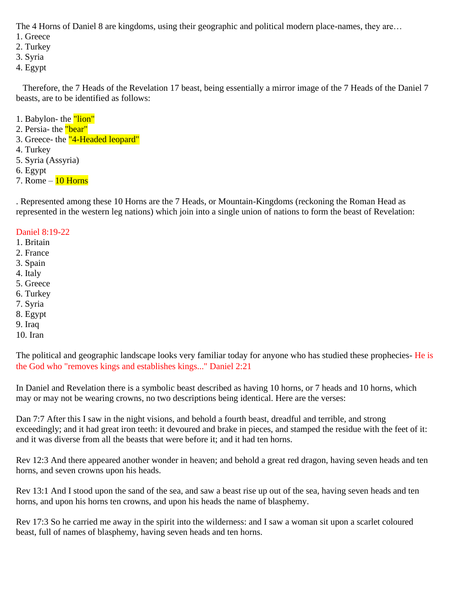The 4 Horns of Daniel 8 are kingdoms, using their geographic and political modern place-names, they are…

- 1. Greece
- 2. Turkey
- 3. Syria
- 4. Egypt

 Therefore, the 7 Heads of the Revelation 17 beast, being essentially a mirror image of the 7 Heads of the Daniel 7 beasts, are to be identified as follows:

- 1. Babylon- the "lion"
- 2. Persia- the "bear"
- 3. Greece- the "4-Headed leopard"
- 4. Turkey
- 5. Syria (Assyria)
- 6. Egypt
- 7. Rome  $-$  10 Horns

. Represented among these 10 Horns are the 7 Heads, or Mountain-Kingdoms (reckoning the Roman Head as represented in the western leg nations) which join into a single union of nations to form the beast of Revelation:

#### Daniel 8:19-22

- 1. Britain
- 2. France
- 3. Spain
- 4. Italy
- 5. Greece
- 6. Turkey
- 7. Syria
- 8. Egypt
- 9. Iraq
- 10. Iran

The political and geographic landscape looks very familiar today for anyone who has studied these prophecies- He is the God who "removes kings and establishes kings..." Daniel 2:21

In Daniel and Revelation there is a symbolic beast described as having 10 horns, or 7 heads and 10 horns, which may or may not be wearing crowns, no two descriptions being identical. Here are the verses:

Dan 7:7 After this I saw in the night visions, and behold a fourth beast, dreadful and terrible, and strong exceedingly; and it had great iron teeth: it devoured and brake in pieces, and stamped the residue with the feet of it: and it was diverse from all the beasts that were before it; and it had ten horns.

Rev 12:3 And there appeared another wonder in heaven; and behold a great red dragon, having seven heads and ten horns, and seven crowns upon his heads.

Rev 13:1 And I stood upon the sand of the sea, and saw a beast rise up out of the sea, having seven heads and ten horns, and upon his horns ten crowns, and upon his heads the name of blasphemy.

Rev 17:3 So he carried me away in the spirit into the wilderness: and I saw a woman sit upon a scarlet coloured beast, full of names of blasphemy, having seven heads and ten horns.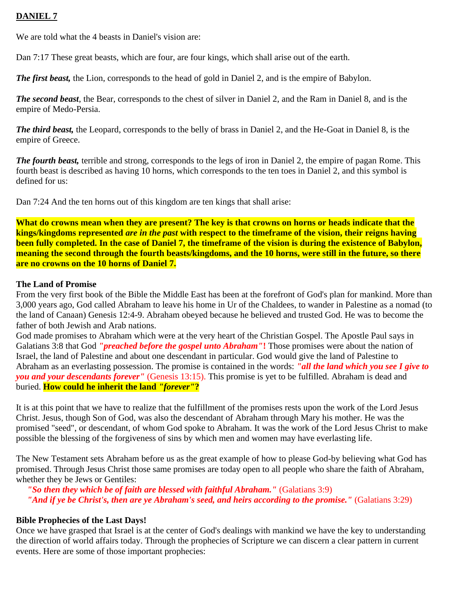# **DANIEL 7**

We are told what the 4 beasts in Daniel's vision are:

Dan 7:17 These great beasts, which are four, are four kings, which shall arise out of the earth.

*The first beast,* the Lion, corresponds to the head of gold in Daniel 2, and is the empire of Babylon.

*The second beast*, the Bear, corresponds to the chest of silver in Daniel 2, and the Ram in Daniel 8, and is the empire of Medo-Persia.

*The third beast,* the Leopard, corresponds to the belly of brass in Daniel 2, and the He-Goat in Daniel 8, is the empire of Greece.

*The fourth beast,* terrible and strong, corresponds to the legs of iron in Daniel 2, the empire of pagan Rome. This fourth beast is described as having 10 horns, which corresponds to the ten toes in Daniel 2, and this symbol is defined for us:

Dan 7:24 And the ten horns out of this kingdom are ten kings that shall arise:

**What do crowns mean when they are present? The key is that crowns on horns or heads indicate that the kings/kingdoms represented** *are in the past* **with respect to the timeframe of the vision, their reigns having been fully completed. In the case of Daniel 7, the timeframe of the vision is during the existence of Babylon, meaning the second through the fourth beasts/kingdoms, and the 10 horns, were still in the future, so there are no crowns on the 10 horns of Daniel 7.**

### **The Land of Promise**

From the very first book of the Bible the Middle East has been at the forefront of God's plan for mankind. More than 3,000 years ago, God called Abraham to leave his home in Ur of the Chaldees, to wander in Palestine as a nomad (to the land of Canaan) Genesis 12:4-9. Abraham obeyed because he believed and trusted God. He was to become the father of both Jewish and Arab nations.

God made promises to Abraham which were at the very heart of the Christian Gospel. The Apostle Paul says in Galatians 3:8 that God *"preached before the gospel unto Abraham"***!** Those promises were about the nation of Israel, the land of Palestine and about one descendant in particular. God would give the land of Palestine to Abraham as an everlasting possession. The promise is contained in the words: *"all the land which you see I give to you and your descendants forever"* (Genesis 13:15). This promise is yet to be fulfilled. Abraham is dead and buried. **How could he inherit the land** *"forever"***?**

It is at this point that we have to realize that the fulfillment of the promises rests upon the work of the Lord Jesus Christ. Jesus, though Son of God, was also the descendant of Abraham through Mary his mother. He was the promised "seed", or descendant, of whom God spoke to Abraham. It was the work of the Lord Jesus Christ to make possible the blessing of the forgiveness of sins by which men and women may have everlasting life.

The New Testament sets Abraham before us as the great example of how to please God-by believing what God has promised. Through Jesus Christ those same promises are today open to all people who share the faith of Abraham, whether they be Jews or Gentiles:

*"So then they which be of faith are blessed with faithful Abraham."* (Galatians 3:9) *"And if ye be Christ's, then are ye Abraham's seed, and heirs according to the promise."* (Galatians 3:29)

### **Bible Prophecies of the Last Days!**

Once we have grasped that Israel is at the center of God's dealings with mankind we have the key to understanding the direction of world affairs today. Through the prophecies of Scripture we can discern a clear pattern in current events. Here are some of those important prophecies: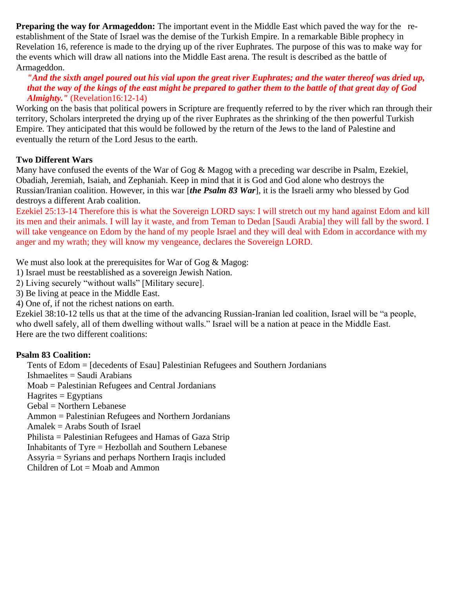**Preparing the way for Armageddon:** The important event in the Middle East which paved the way for the reestablishment of the State of Israel was the demise of the Turkish Empire. In a remarkable Bible prophecy in Revelation 16, reference is made to the drying up of the river Euphrates. The purpose of this was to make way for the events which will draw all nations into the Middle East arena. The result is described as the battle of Armageddon.

### *"And the sixth angel poured out his vial upon the great river Euphrates; and the water thereof was dried up, that the way of the kings of the east might be prepared to gather them to the battle of that great day of God Almighty."* (Revelation16:12-14)

Working on the basis that political powers in Scripture are frequently referred to by the river which ran through their territory, Scholars interpreted the drying up of the river Euphrates as the shrinking of the then powerful Turkish Empire. They anticipated that this would be followed by the return of the Jews to the land of Palestine and eventually the return of the Lord Jesus to the earth.

### **Two Different Wars**

Many have confused the events of the War of Gog & Magog with a preceding war describe in Psalm, Ezekiel, Obadiah, Jeremiah, Isaiah, and Zephaniah. Keep in mind that it is God and God alone who destroys the Russian/Iranian coalition. However, in this war [*the Psalm 83 War*], it is the Israeli army who blessed by God destroys a different Arab coalition.

[Ezekiel 25:13-14](http://www.biblegateway.com/passage/?search=Ezekial%2025:13-14&version=NIV) Therefore this is what the Sovereign LORD says: I will stretch out my hand against Edom and kill its men and their animals. I will lay it waste, and from Teman to Dedan [Saudi Arabia] they will fall by the sword. I will take vengeance on Edom by the hand of my people Israel and they will deal with Edom in accordance with my anger and my wrath; they will know my vengeance, declares the Sovereign LORD.

We must also look at the prerequisites for War of Gog & Magog:

1) Israel must be reestablished as a sovereign Jewish Nation.

2) Living securely "without walls" [Military secure].

3) Be living at peace in the Middle East.

4) One of, if not the richest nations on earth.

[Ezekiel 38:10-12 t](http://www.biblegateway.com/passage/?search=Ezekiel38:10-12&version=NIV)ells us that at the time of the advancing Russian-Iranian led coalition, Israel will be "a people, who dwell safely, all of them dwelling without walls." Israel will be a nation at peace in the Middle East. Here are the two different coalitions:

### **Psalm 83 Coalition:**

Tents of Edom = [decedents of Esau] Palestinian Refugees and Southern Jordanians

Ishmaelites = Saudi Arabians

Moab = Palestinian Refugees and Central Jordanians

 $Hagrites = Egyptians$ 

Gebal = Northern Lebanese

Ammon = Palestinian Refugees and Northern Jordanians

Amalek = Arabs South of Israel

Philista = Palestinian Refugees and Hamas of Gaza Strip

Inhabitants of Tyre = Hezbollah and Southern Lebanese

Assyria = Syrians and perhaps Northern Iraqis included

Children of  $Lot = Moab$  and Ammon